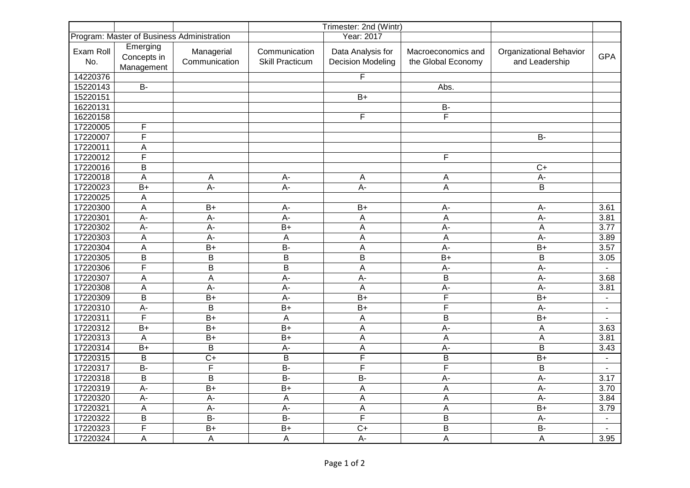| Program: Master of Business Administration |                                       |                             | Trimester: 2nd (Wintr)<br>Year: 2017    |                                               |                                          |                                           |                |
|--------------------------------------------|---------------------------------------|-----------------------------|-----------------------------------------|-----------------------------------------------|------------------------------------------|-------------------------------------------|----------------|
| Exam Roll<br>No.                           | Emerging<br>Concepts in<br>Management | Managerial<br>Communication | Communication<br><b>Skill Practicum</b> | Data Analysis for<br><b>Decision Modeling</b> | Macroeconomics and<br>the Global Economy | Organizational Behavior<br>and Leadership | <b>GPA</b>     |
| 14220376                                   |                                       |                             |                                         | F                                             |                                          |                                           |                |
| 15220143                                   | $B -$                                 |                             |                                         |                                               | Abs.                                     |                                           |                |
| 15220151                                   |                                       |                             |                                         | $B+$                                          |                                          |                                           |                |
| 16220131                                   |                                       |                             |                                         |                                               | <b>B-</b>                                |                                           |                |
| 16220158                                   |                                       |                             |                                         | F                                             | F                                        |                                           |                |
| 17220005                                   | $\overline{F}$                        |                             |                                         |                                               |                                          |                                           |                |
| 17220007                                   | $\overline{F}$                        |                             |                                         |                                               |                                          | <b>B-</b>                                 |                |
| 17220011                                   | A                                     |                             |                                         |                                               |                                          |                                           |                |
| 17220012                                   | $\overline{F}$                        |                             |                                         |                                               | F                                        |                                           |                |
| 17220016                                   | B                                     |                             |                                         |                                               |                                          | $C+$                                      |                |
| 17220018                                   | $\overline{A}$                        | $\mathsf{A}$                | $A -$                                   | A                                             | A                                        | A-                                        |                |
| 17220023                                   | $B+$                                  | $A -$                       | $A -$                                   | $A -$                                         | A                                        | B                                         |                |
| 17220025                                   | A                                     |                             |                                         |                                               |                                          |                                           |                |
| 17220300                                   | A                                     | $B+$                        | A-                                      | $B+$                                          | A-                                       | $A-$                                      | 3.61           |
| 17220301                                   | $A -$                                 | $A -$                       | $A -$                                   | A                                             | A                                        | $A -$                                     | 3.81           |
| 17220302                                   | $A -$                                 | $\overline{A}$              | $B+$                                    | A                                             | $\overline{A}$                           | $\boldsymbol{\mathsf{A}}$                 | 3.77           |
| 17220303                                   | A                                     | A-                          | A                                       | A                                             | A                                        | A-                                        | 3.89           |
| 17220304                                   | A                                     | $B+$                        | $B -$                                   | A                                             | $A -$                                    | $B+$                                      | 3.57           |
| 17220305                                   | $\mathsf B$                           | B                           | B                                       | $\overline{B}$                                | $B+$                                     | $\overline{\mathsf{B}}$                   | 3.05           |
| 17220306                                   | $\mathsf F$                           | B                           | B                                       | A                                             | A-                                       | A-                                        |                |
| 17220307                                   | A                                     | A                           | A-                                      | A-                                            | B                                        | $A -$                                     | 3.68           |
| 17220308                                   | A                                     | A-                          | A-                                      | A                                             | A-                                       | A-                                        | 3.81           |
| 17220309                                   | B                                     | $B+$                        | A-                                      | $B+$                                          | F                                        | $B+$                                      | $\sim$         |
| 17220310                                   | $A -$                                 | $\overline{B}$              | $B+$                                    | $B+$                                          | $\overline{\mathsf{F}}$                  | $A -$                                     |                |
| 17220311                                   | F                                     | $B+$                        | $\mathsf A$                             | A                                             | B                                        | $B+$                                      | $\blacksquare$ |
| 17220312                                   | $B+$                                  | $B+$                        | $B+$                                    | A                                             | A-                                       | А                                         | 3.63           |
| 17220313                                   | $\overline{A}$                        | $B+$                        | $B+$                                    | A                                             | A                                        | A                                         | 3.81           |
| 17220314                                   | $B+$                                  | B                           | A-                                      | A                                             | A-                                       | $\overline{\mathsf{B}}$                   | 3.43           |
| 17220315                                   | B                                     | $\overline{C}$              | B                                       | $\overline{F}$                                | $\mathsf B$                              | $B+$                                      | $\blacksquare$ |
| 17220317                                   | <b>B-</b>                             | F                           | <b>B-</b>                               | $\overline{F}$                                | F                                        | B                                         | $\blacksquare$ |
| 17220318                                   | B                                     | B                           | $B -$                                   | $B -$                                         | A-                                       | A-                                        | 3.17           |
| 17220319                                   | $\overline{A}$ -                      | $B+$                        | $B+$                                    | A                                             | A                                        | $\overline{A}$                            | 3.70           |
| 17220320                                   | $A -$                                 | $A -$                       | $\mathsf A$                             | A                                             | A                                        | $A -$                                     | 3.84           |
| 17220321                                   | A                                     | A-                          | A-                                      | A                                             | A                                        | $B+$                                      | 3.79           |
| 17220322                                   | B                                     | $\overline{B}$              | $\overline{B}$                          | $\overline{F}$                                | B                                        | A-                                        |                |
| 17220323                                   | F                                     | $B+$                        | $B+$                                    | $C+$                                          | B                                        | $B -$                                     |                |
| 17220324                                   | $\overline{A}$                        | A                           | A                                       | A-                                            | A                                        | A                                         | 3.95           |